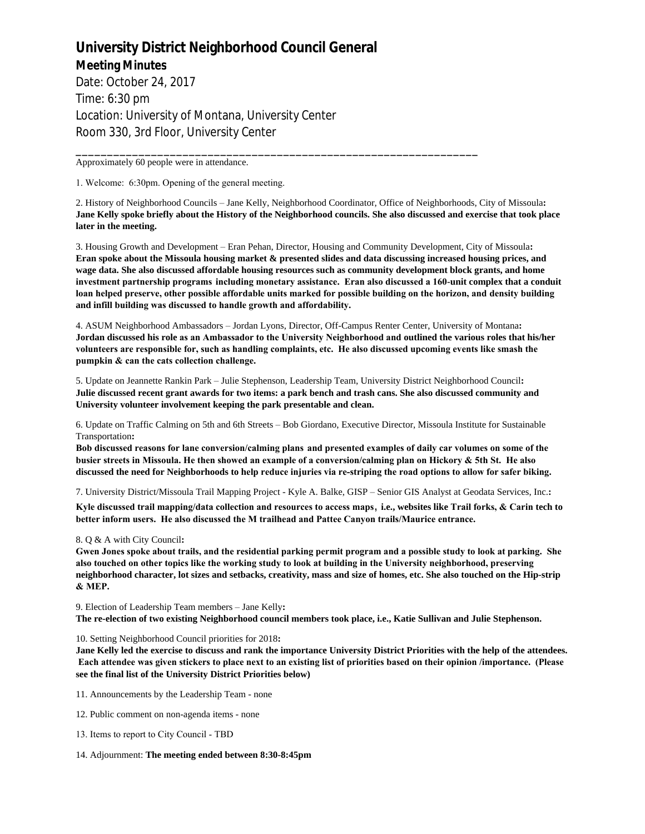## **University District Neighborhood Council General Meeting Minutes**

Date: October 24, 2017 Time: 6:30 pm Location: University of Montana, University Center Room 330, 3rd Floor, University Center

Approximately 60 people were in attendance.

1. Welcome: 6:30pm. Opening of the general meeting.

2. History of Neighborhood Councils – Jane Kelly, Neighborhood Coordinator, Office of Neighborhoods, City of Missoula**: Jane Kelly spoke briefly about the History of the Neighborhood councils. She also discussed and exercise that took place later in the meeting.**

\_\_\_\_\_\_\_\_\_\_\_\_\_\_\_\_\_\_\_\_\_\_\_\_\_\_\_\_\_\_\_\_\_\_\_\_\_\_\_\_\_\_\_\_\_\_\_\_\_\_\_\_\_\_\_\_\_\_\_\_\_\_\_\_

3. Housing Growth and Development – Eran Pehan, Director, Housing and Community Development, City of Missoula**: Eran spoke about the Missoula housing market & presented slides and data discussing increased housing prices, and wage data. She also discussed affordable housing resources such as community development block grants, and home investment partnership programs including monetary assistance. Eran also discussed a 160-unit complex that a conduit loan helped preserve, other possible affordable units marked for possible building on the horizon, and density building and infill building was discussed to handle growth and affordability.**

4. ASUM Neighborhood Ambassadors – Jordan Lyons, Director, Off-Campus Renter Center, University of Montana**: Jordan discussed his role as an Ambassador to the University Neighborhood and outlined the various roles that his/her volunteers are responsible for, such as handling complaints, etc. He also discussed upcoming events like smash the pumpkin & can the cats collection challenge.** 

5. Update on Jeannette Rankin Park – Julie Stephenson, Leadership Team, University District Neighborhood Council**: Julie discussed recent grant awards for two items: a park bench and trash cans. She also discussed community and University volunteer involvement keeping the park presentable and clean.**

6. Update on Traffic Calming on 5th and 6th Streets – Bob Giordano, Executive Director, Missoula Institute for Sustainable Transportation**:** 

**Bob discussed reasons for lane conversion/calming plans and presented examples of daily car volumes on some of the busier streets in Missoula. He then showed an example of a conversion/calming plan on Hickory & 5th St. He also discussed the need for Neighborhoods to help reduce injuries via re-striping the road options to allow for safer biking.**

7. University District/Missoula Trail Mapping Project - Kyle A. Balke, GISP – Senior GIS Analyst at Geodata Services, Inc.**:** 

**Kyle discussed trail mapping/data collection and resources to access maps**, **i.e., websites like Trail forks, & Carin tech to better inform users. He also discussed the M trailhead and Pattee Canyon trails/Maurice entrance.**

## 8. Q & A with City Council**:**

**Gwen Jones spoke about trails, and the residential parking permit program and a possible study to look at parking. She also touched on other topics like the working study to look at building in the University neighborhood, preserving neighborhood character, lot sizes and setbacks, creativity, mass and size of homes, etc. She also touched on the Hip-strip & MEP.** 

9. Election of Leadership Team members – Jane Kelly**: The re-election of two existing Neighborhood council members took place, i.e., Katie Sullivan and Julie Stephenson.**

## 10. Setting Neighborhood Council priorities for 2018**:**

**Jane Kelly led the exercise to discuss and rank the importance University District Priorities with the help of the attendees. Each attendee was given stickers to place next to an existing list of priorities based on their opinion /importance. (Please see the final list of the University District Priorities below)**

11. Announcements by the Leadership Team - none

12. Public comment on non-agenda items - none

13. Items to report to City Council - TBD

14. Adjournment: **The meeting ended between 8:30-8:45pm**